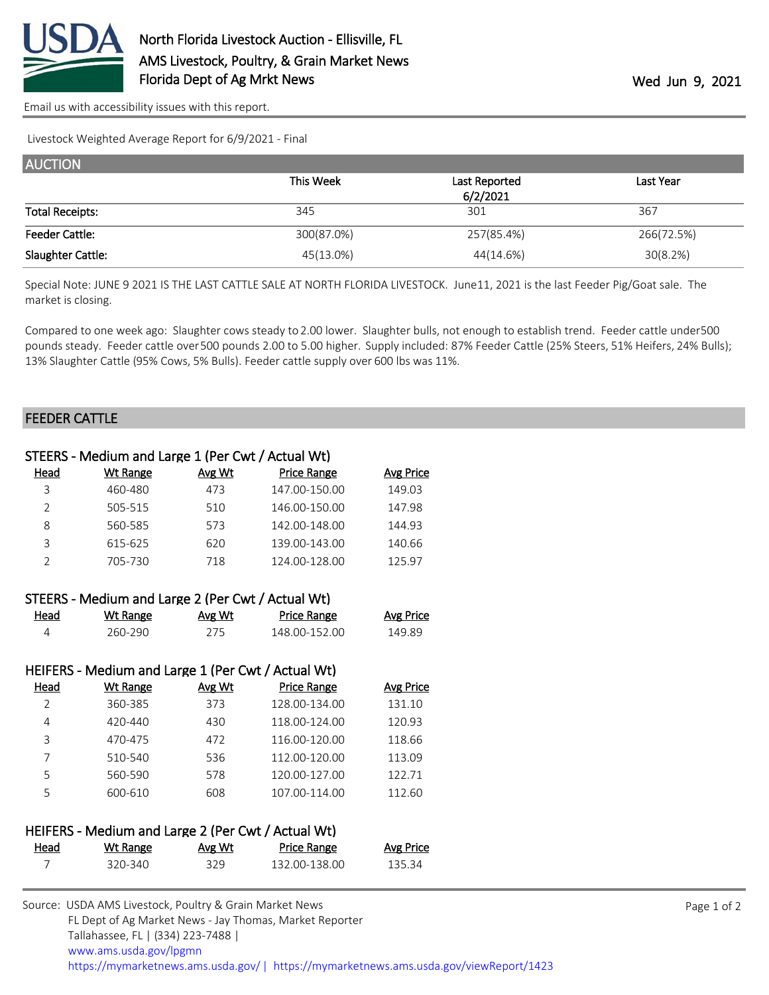

[Email us with accessibility issues with this report.](mailto:mars@ams.usda.gov?subject=508%20issue)

Livestock Weighted Average Report for 6/9/2021 - Final

| <b>AUCTION</b>         |            |               |            |  |
|------------------------|------------|---------------|------------|--|
|                        | This Week  | Last Reported | Last Year  |  |
|                        |            | 6/2/2021      |            |  |
| <b>Total Receipts:</b> | 345        | 301           | 367        |  |
| <b>Feeder Cattle:</b>  | 300(87.0%) | 257(85.4%)    | 266(72.5%) |  |
| Slaughter Cattle:      | 45(13.0%)  | 44(14.6%)     | 30(8.2%)   |  |

Special Note: JUNE 9 2021 IS THE LAST CATTLE SALE AT NORTH FLORIDA LIVESTOCK. June11, 2021 is the last Feeder Pig/Goat sale. The market is closing.

Compared to one week ago: Slaughter cows steady to 2.00 lower. Slaughter bulls, not enough to establish trend. Feeder cattle under 500 pounds steady. Feeder cattle over 500 pounds 2.00 to 5.00 higher. Supply included: 87% Feeder Cattle (25% Steers, 51% Heifers, 24% Bulls); 13% Slaughter Cattle (95% Cows, 5% Bulls). Feeder cattle supply over 600 lbs was 11%.

## FEEDER CATTLE

|                | STEERS - Medium and Large 1 (Per Cwt / Actual Wt)  |        |                    |                  |
|----------------|----------------------------------------------------|--------|--------------------|------------------|
| <u>Head</u>    | <b>Wt Range</b>                                    | Avg Wt | <b>Price Range</b> | <b>Avg Price</b> |
| 3              | 460-480                                            | 473    | 147.00-150.00      | 149.03           |
| $\overline{2}$ | 505-515                                            | 510    | 146.00-150.00      | 147.98           |
| 8              | 560-585                                            | 573    | 142.00-148.00      | 144.93           |
| 3              | 615-625                                            | 620    | 139.00-143.00      | 140.66           |
| $\overline{2}$ | 705-730                                            | 718    | 124.00-128.00      | 125.97           |
|                | STEERS - Medium and Large 2 (Per Cwt / Actual Wt)  |        |                    |                  |
| <u>Head</u>    | <b>Wt Range</b>                                    | Avg Wt | <b>Price Range</b> | <b>Avg Price</b> |
| 4              | 260-290                                            | 275    | 148.00-152.00      | 149.89           |
|                |                                                    |        |                    |                  |
|                | HEIFERS - Medium and Large 1 (Per Cwt / Actual Wt) |        |                    |                  |
| <b>Head</b>    | <b>Wt Range</b>                                    | Avg Wt | <b>Price Range</b> | <b>Avg Price</b> |
| 2              | 360-385                                            | 373    | 128.00-134.00      | 131.10           |
| 4              | 420-440                                            | 430    | 118.00-124.00      | 120.93           |
| 3              | 470-475                                            | 472    | 116.00-120.00      | 118.66           |
| 7              | 510-540                                            | 536    | 112.00-120.00      | 113.09           |
| 5              | 560-590                                            | 578    | 120.00-127.00      | 122.71           |
| 5              | 600-610                                            | 608    | 107.00-114.00      | 112.60           |
|                |                                                    |        |                    |                  |
|                | HEIFERS - Medium and Large 2 (Per Cwt / Actual Wt) |        |                    |                  |
| <u>Head</u>    | <b>Wt Range</b>                                    | Avg Wt | <b>Price Range</b> | <b>Avg Price</b> |
| 7              | 320-340                                            | 329    | 132.00-138.00      | 135.34           |
|                |                                                    |        |                    |                  |